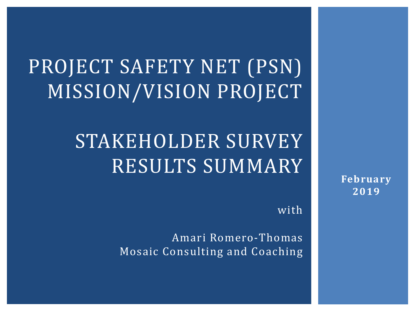# PROJECT SAFETY NET (PSN) MISSION/VISION PROJECT

# STAKEHOLDER SURVEY RESULTS SUMMARY

with

Amari Romero-Thomas Mosaic Consulting and Coaching **February 2019**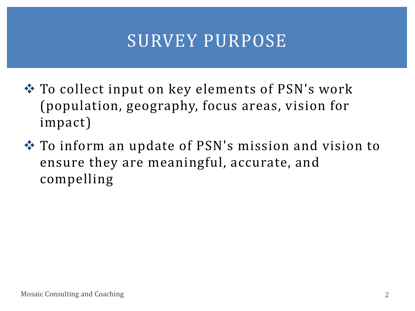### SURVEY PURPOSE

- ❖ To collect input on key elements of PSN's work (population, geography, focus areas, vision for impact)
- ❖ To inform an update of PSN's mission and vision to ensure they are meaningful, accurate, and compelling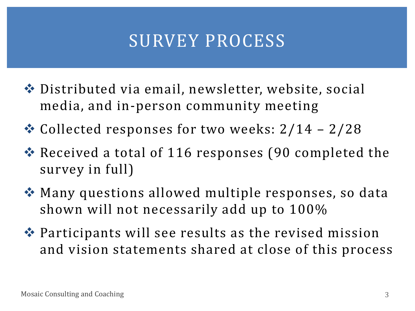### SURVEY PROCESS

- ❖ Distributed via email, newsletter, website, social media, and in-person community meeting
- ❖ Collected responses for two weeks: 2/14 2/28
- ❖ Received a total of 116 responses (90 completed the survey in full)
- ❖ Many questions allowed multiple responses, so data shown will not necessarily add up to 100%
- ❖ Participants will see results as the revised mission and vision statements shared at close of this process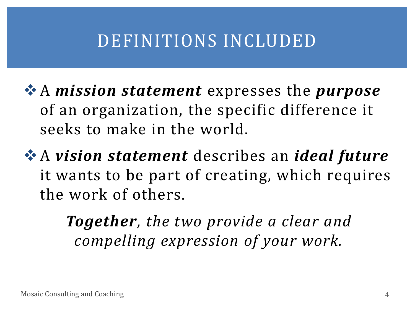### DEFINITIONS INCLUDED

❖A *mission statement* expresses the *purpose* of an organization, the specific difference it seeks to make in the world.

❖A *vision statement* describes an *ideal future*  it wants to be part of creating, which requires the work of others.

> *Together, the two provide a clear and compelling expression of your work.*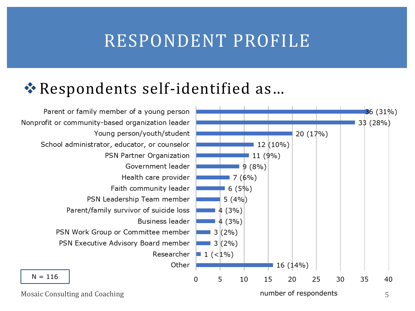### RESPONDENT PROFILE

#### ❖Respondents self-identified as…



Mosaic Consulting and Coaching **5** and Coaching 5 and 5 and 5 and 5 and 5 and 5 and 5 and 5 and 5 and 5 and 5 and 5 and 5 and 5 and 5 and 5 and 5 and 5 and 5 and 5 and 5 and 5 and 5 and 5 and 5 and 5 and 5 and 5 and 5 and

number of respondents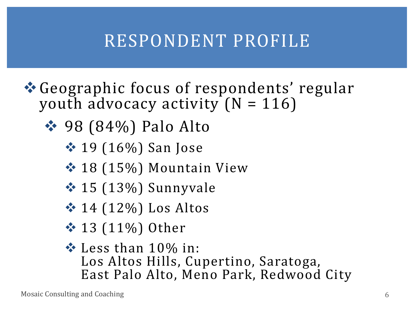# RESPONDENT PROFILE

- ❖Geographic focus of respondents' regular youth advocacy activity  $(N = 116)$ 
	- **❖ 98 (84%) Palo Alto** 
		- ❖ 19 (16%) San Jose
		- ◆ 18 (15%) Mountain View
		- ❖ 15 (13%) Sunnyvale
		- $\div$  14 (12%) Los Altos
		- **❖ 13 (11%) Other**
		- ❖ Less than 10% in: Los Altos Hills, Cupertino, Saratoga, East Palo Alto, Meno Park, Redwood City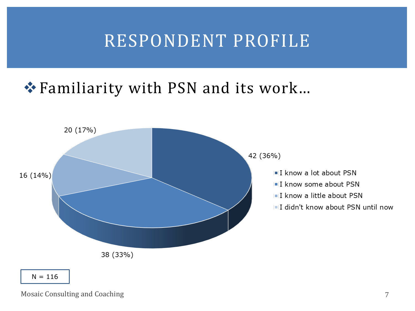### RESPONDENT PROFILE

#### ❖Familiarity with PSN and its work…



Mosaic Consulting and Coaching 7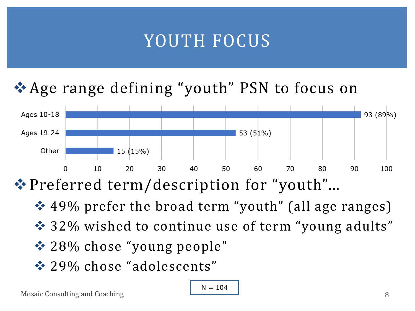## YOUTH FOCUS

#### ❖Age range defining "youth" PSN to focus on



❖Preferred term/description for "youth"…

- ❖ 49% prefer the broad term "youth" (all age ranges)
- ❖ 32% wished to continue use of term "young adults"
- ❖ 28% chose "young people"
- ❖ 29% chose "adolescents"

$$
N = 104
$$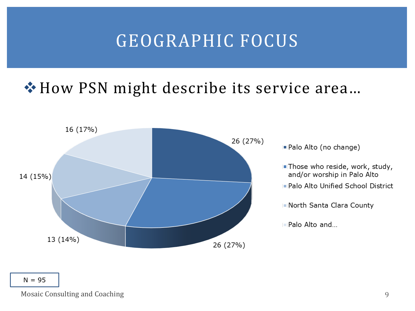### GEOGRAPHIC FOCUS

#### ❖How PSN might describe its service area…



- Palo Alto (no change)
- . Those who reside, work, study, and/or worship in Palo Alto
- . Palo Alto Unified School District
- North Santa Clara County
- Palo Alto and...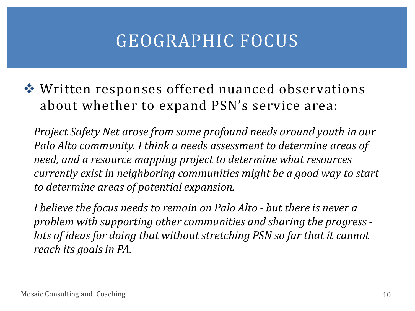## GEOGRAPHIC FOCUS

❖ Written responses offered nuanced observations about whether to expand PSN's service area:

*Project Safety Net arose from some profound needs around youth in our Palo Alto community. I think a needs assessment to determine areas of need, and a resource mapping project to determine what resources currently exist in neighboring communities might be a good way to start to determine areas of potential expansion.* 

*I believe the focus needs to remain on Palo Alto - but there is never a problem with supporting other communities and sharing the progress lots of ideas for doing that without stretching PSN so far that it cannot reach its goals in PA.*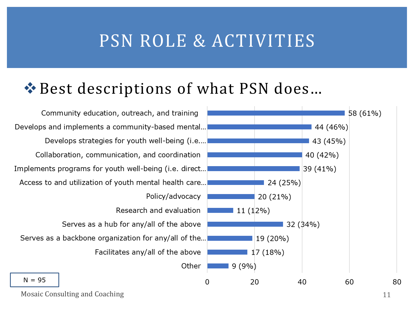#### PSN ROLE & ACTIVITIES

#### ❖Best descriptions of what PSN does…

Community education, outreach, and training Develops and implements a community-based mental... Develops strategies for youth well-being (i.e.... Collaboration, communication, and coordination Implements programs for youth well-being (i.e. direct... Access to and utilization of youth mental health care... Policy/advocacy Research and evaluation Serves as a hub for any/all of the above Serves as a backbone organization for any/all of the... Facilitates any/all of the above Other  $N = 95$ 



Mosaic Consulting and Coaching 11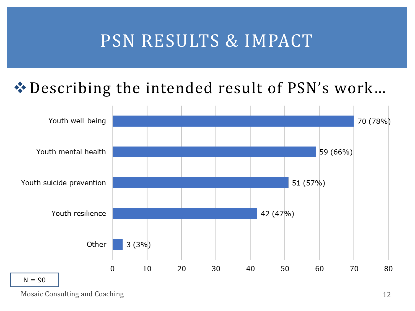### PSN RESULTS & IMPACT

#### ❖Describing the intended result of PSN's work…



Mosaic Consulting and Coaching 12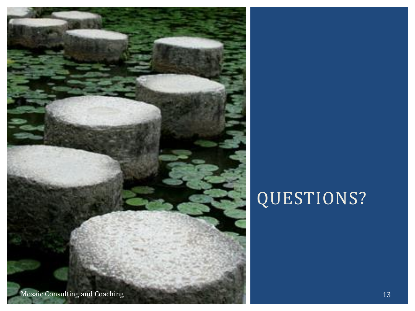

# QUESTIONS?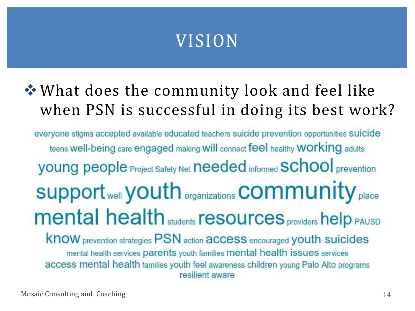#### ❖What does the community look and feel like when PSN is successful in doing its best work?

everyone stigma accepted available educated teachers suicide prevention opportunities suicide teens well-being care engaged making will connect feel healthy WOrking adults **young people Project Safety Net needed informed SChool prevention** Support well youth organizations **COMMUNIty** place **mental health** students **resources** providers help PAUSD **KNOW** prevention strategies PSN action **access** encouraged youth suicides mental health services parents youth families mental health issues services access mental health families youth feel awareness children young Palo Alto programs resilient aware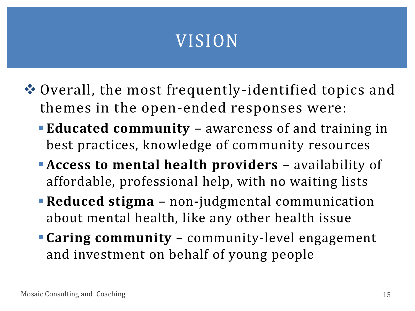- ❖ Overall, the most frequently-identified topics and themes in the open-ended responses were:
	- **Educated community** awareness of and training in best practices, knowledge of community resources
	- ▪**Access to mental health providers** availability of affordable, professional help, with no waiting lists
	- **Reduced stigma** non-judgmental communication about mental health, like any other health issue
	- **Caring community** community-level engagement and investment on behalf of young people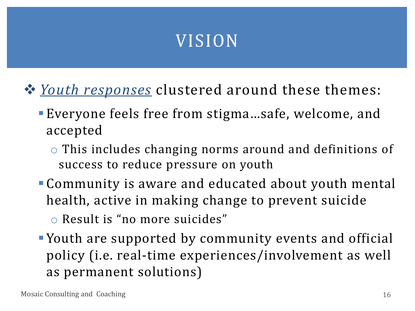- ❖ *Youth responses* clustered around these themes:
	- ▪Everyone feels free from stigma…safe, welcome, and accepted
		- o This includes changing norms around and definitions of success to reduce pressure on youth
	- Community is aware and educated about youth mental health, active in making change to prevent suicide
		- o Result is "no more suicides"
	- ▪Youth are supported by community events and official policy (i.e. real-time experiences/involvement as well as permanent solutions)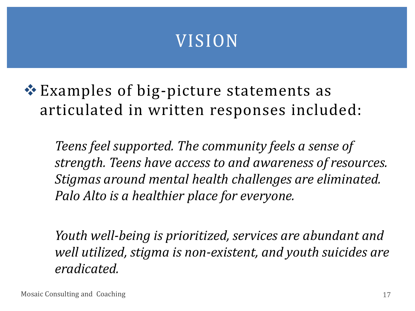❖Examples of big-picture statements as articulated in written responses included:

*Teens feel supported. The community feels a sense of strength. Teens have access to and awareness of resources. Stigmas around mental health challenges are eliminated. Palo Alto is a healthier place for everyone.*

*Youth well-being is prioritized, services are abundant and well utilized, stigma is non-existent, and youth suicides are eradicated.*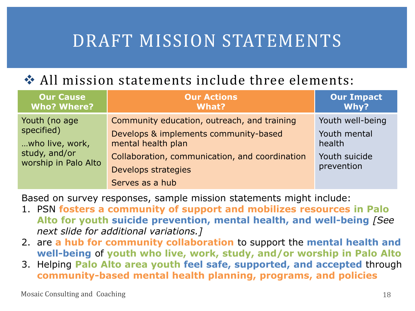### DRAFT MISSION STATEMENTS

#### ❖ All mission statements include three elements:

| <b>Our Cause</b><br><b>Who? Where?</b>                                                  | <b>Our Actions</b><br>What?                                                          | <b>Our Impact</b><br>Why?             |
|-----------------------------------------------------------------------------------------|--------------------------------------------------------------------------------------|---------------------------------------|
| Youth (no age<br>specified)<br>who live, work,<br>study, and/or<br>worship in Palo Alto | Community education, outreach, and training<br>Develops & implements community-based | Youth well-being<br>Youth mental      |
|                                                                                         | mental health plan<br>Collaboration, communication, and coordination                 | health<br>Youth suicide<br>prevention |
|                                                                                         | Develops strategies<br>Serves as a hub                                               |                                       |

Based on survey responses, sample mission statements might include:

- 1. PSN **fosters a community of support and mobilizes resources in Palo Alto for youth suicide prevention, mental health, and well-being** *[See next slide for additional variations.]*
- 2. are **a hub for community collaboration** to support the **mental health and well-being** of **youth who live, work, study, and/or worship in Palo Alto**
- 3. Helping **Palo Alto area youth feel safe, supported, and accepted** through **community-based mental health planning, programs, and policies**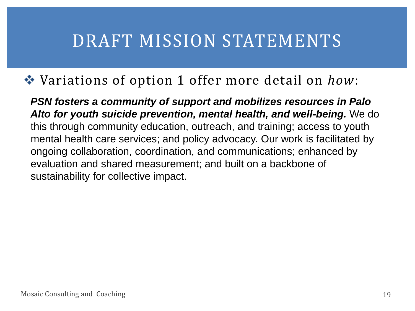#### DRAFT MISSION STATEMENTS

#### ❖ Variations of option 1 offer more detail on *how*:

*PSN fosters a community of support and mobilizes resources in Palo Alto for youth suicide prevention, mental health, and well-being.* We do this through community education, outreach, and training; access to youth mental health care services; and policy advocacy. Our work is facilitated by ongoing collaboration, coordination, and communications; enhanced by evaluation and shared measurement; and built on a backbone of sustainability for collective impact.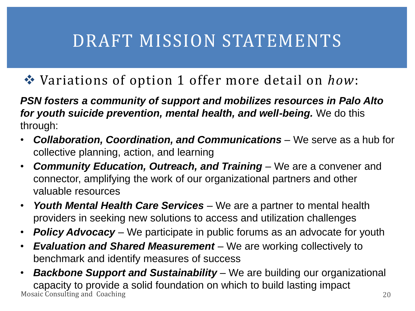# DRAFT MISSION STATEMENTS

#### ❖ Variations of option 1 offer more detail on *how*:

*PSN fosters a community of support and mobilizes resources in Palo Alto for youth suicide prevention, mental health, and well-being.* We do this through:

- *Collaboration, Coordination, and Communications* We serve as a hub for collective planning, action, and learning
- *Community Education, Outreach, and Training* We are a convener and connector, amplifying the work of our organizational partners and other valuable resources
- *Youth Mental Health Care Services* We are a partner to mental health providers in seeking new solutions to access and utilization challenges
- *Policy Advocacy* We participate in public forums as an advocate for youth
- *Evaluation and Shared Measurement* We are working collectively to benchmark and identify measures of success
- Mosaic Consulting and Coaching 20 • *Backbone Support and Sustainability* – We are building our organizational capacity to provide a solid foundation on which to build lasting impact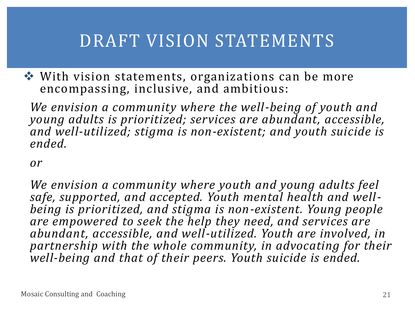### DRAFT VISION STATEMENTS

❖ With vision statements, organizations can be more encompassing, inclusive, and ambitious:

*We envision a community where the well-being of youth and young adults is prioritized; services are abundant, accessible, and well-utilized; stigma is non-existent; and youth suicide is ended.*

*or* 

*We envision a community where youth and young adults feel safe, supported, and accepted. Youth mental health and wellbeing is prioritized, and stigma is non-existent. Young people are empowered to seek the help they need, and services are abundant, accessible, and well-utilized. Youth are involved, in partnership with the whole community, in advocating for their well-being and that of their peers. Youth suicide is ended.*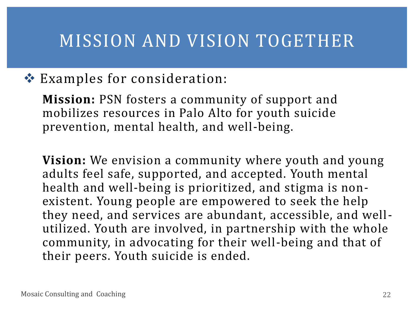#### MISSION AND VISION TOGETHER

#### ❖ Examples for consideration:

**Mission:** PSN fosters a community of support and mobilizes resources in Palo Alto for youth suicide prevention, mental health, and well-being.

**Vision:** We envision a community where youth and young adults feel safe, supported, and accepted. Youth mental health and well-being is prioritized, and stigma is nonexistent. Young people are empowered to seek the help they need, and services are abundant, accessible, and wellutilized. Youth are involved, in partnership with the whole community, in advocating for their well-being and that of their peers. Youth suicide is ended.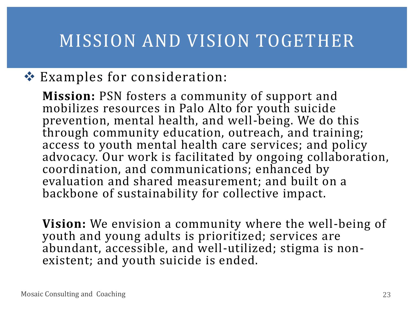### MISSION AND VISION TOGETHER

#### ❖ Examples for consideration:

**Mission:** PSN fosters a community of support and mobilizes resources in Palo Alto for youth suicide prevention, mental health, and well-being. We do this through community education, outreach, and training; access to youth mental health care services; and policy advocacy. Our work is facilitated by ongoing collaboration, coordination, and communications; enhanced by evaluation and shared measurement; and built on a backbone of sustainability for collective impact.

**Vision:** We envision a community where the well-being of youth and young adults is prioritized; services are abundant, accessible, and well-utilized; stigma is nonexistent; and youth suicide is ended.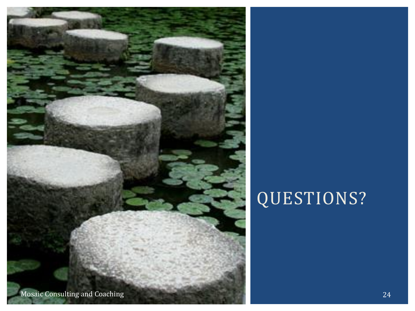

# QUESTIONS?